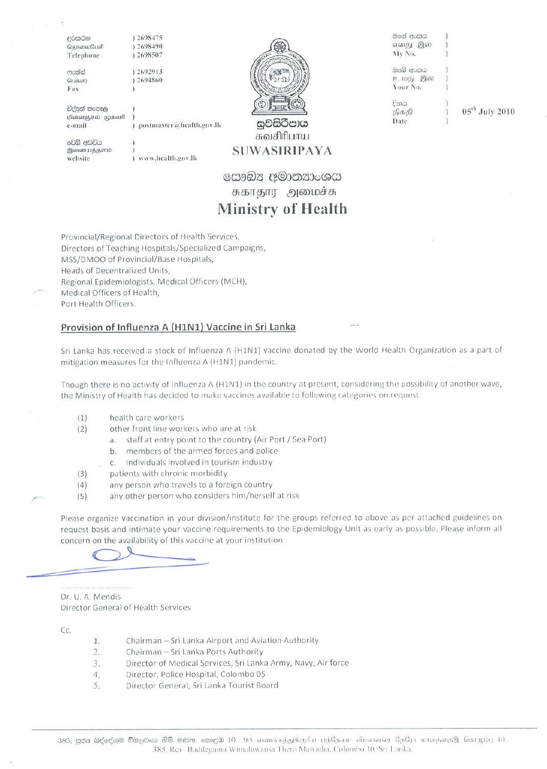දුරකථන தொலைபேசி Telephone

ෆැක්ස් பெக்ஸ் Fax

12698475

විද්පුත් තැපෑල

மின்னஞ்சல் முகவரி e-mail

වෙබ් අඩවිය இணையத்தளம் website

www.health.gov.lk

postmaster@health.gov.lk

සවසිරීපාය

මගේ අංකය எனது இல My No.

ඔබේ අංකය உமது இல Your No.

දිනය திகதி Date

 $05^{\text{th}}$  July 2010

සෞඛ $x$  අමාතනාංශය சுகாதார அமைச்சு **Ministry of Health** 

சுவசிரிபாய

**SUWASIRIPAYA** 

Provincial/Regional Directors of Health Services, Directors of Teaching Hospitals/Specialized Campaigns, MSS/DMOO of Provincial/Base Hospitals, Heads of Decentralized Units. Regional Epidemiologists, Medical Officers (MCH), Medical Officers of Health, Port Health Officers.

# Provision of Influenza A (H1N1) Vaccine in Sri Lanka

Sri Lanka has received a stock of Influenza A (H1N1) vaccine donated by the World Health Organization as a part of mitigation measures for the Influenza A (H1N1) pandemic.

Though there is no activity of Influenza A (H1N1) in the country at present, considering the possibility of another wave, the Ministry of Health has decided to make vaccines available to following categories on request.

health care workers  $(1)$ 

 $(2)$ 

- other front line workers who are at risk
	- a. staff at entry point to the country (Air Port / Sea Port)
	- b. members of the armed forces and police
	- individuals involved in tourism industry  $C<sub>1</sub>$
- patients with chronic morbidity  $(3)$
- $(4)$ any person who travels to a foreign country
- $(5)$ any other person who considers him/herself at risk

Please organize vaccination in your division/institute for the groups referred to above as per attached guidelines on request basis and intimate your vaccine requirements to the Epidemiology Unit as early as possible. Please inform all concern on the availability of this vaccine at your institution.

Dr. U. A. Mendis Director General of Health Services

Cc.

- Chairman Sri Lanka Airport and Aviation Authority 1.
- 2. Chairman - Sri Lanka Ports Authority
- Director of Medical Services, Sri Lanka Army, Navy, Air force  $3.$
- $4.$ Director, Police Hospital, Colombo 05
- 5. Director General, Sri Lanka Tourist Board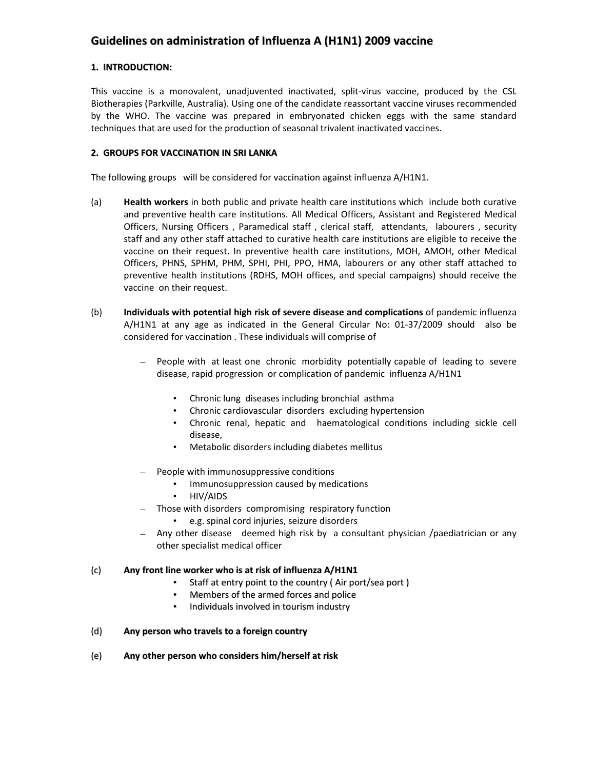# **Guidelines on administration of Influenza A (H1N1) 2009 vaccine**

# **1. INTRODUCTION:**

This vaccine is a monovalent, unadjuvented inactivated, split‐virus vaccine, produced by the CSL Biotherapies (Parkville, Australia). Using one of the candidate reassortant vaccine viruses recommended by the WHO. The vaccine was prepared in embryonated chicken eggs with the same standard techniques that are used for the production of seasonal trivalent inactivated vaccines.

# **2. GROUPS FOR VACCINATION IN SRI LANKA**

The following groups will be considered for vaccination against influenza A/H1N1.

- (a) **Health workers** in both public and private health care institutions which include both curative and preventive health care institutions. All Medical Officers, Assistant and Registered Medical Officers, Nursing Officers, Paramedical staff, clerical staff, attendants, labourers, security staff and any other staff attached to curative health care institutions are eligible to receive the vaccine on their request. In preventive health care institutions, MOH, AMOH, other Medical Officers, PHNS, SPHM, PHM, SPHI, PHI, PPO, HMA, labourers or any other staff attached to preventive health institutions (RDHS, MOH offices, and special campaigns) should receive the vaccine on their request.
- (b) **Individuals with potential high risk of severe disease and complications** of pandemic influenza A/H1N1 at any age as indicated in the General Circular No: 01‐37/2009 should also be considered for vaccination . These individuals will comprise of
	- People with at least one chronic morbidity potentially capable of leading to severe disease, rapid progression or complication of pandemic influenza A/H1N1
		- Chronic lung diseases including bronchial asthma
		- Chronic cardiovascular disorders excluding hypertension
		- Chronic renal, hepatic and haematological conditions including sickle cell disease,
		- Metabolic disorders including diabetes mellitus
	- People with immunosuppressive conditions
		- Immunosuppression caused by medications
		- HIV/AIDS
	- Those with disorders compromising respiratory function
		- e.g. spinal cord injuries, seizure disorders
	- Any other disease deemed high risk by a consultant physician /paediatrician or any other specialist medical officer

# (c) **Any front line worker who is at risk of influenza A/H1N1**

- Staff at entry point to the country ( Air port/sea port )
- Members of the armed forces and police
- Individuals involved in tourism industry

# (d) **Any person who travels to a foreign country**

(e) **Any other person who considers him/herself at risk**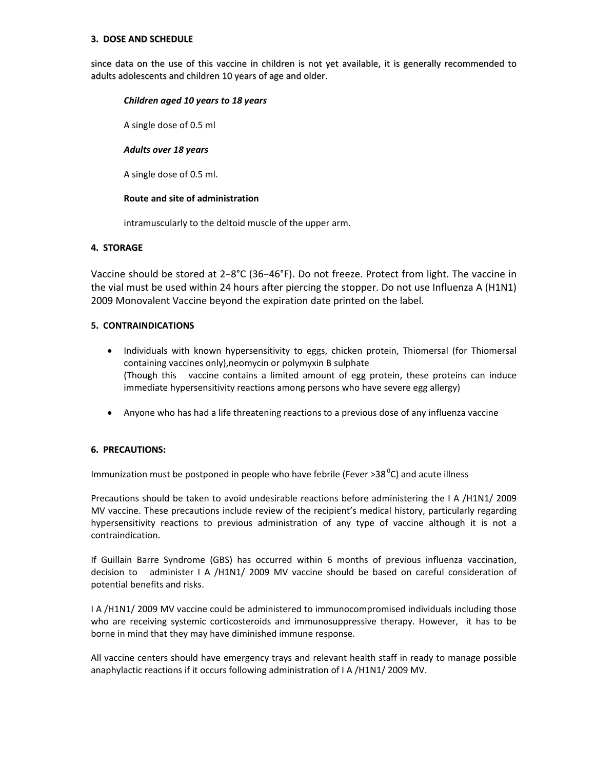#### **3. DOSE AND SCHEDULE**

since data on the use of this vaccine in children is not yet available, it is generally recommended to adults adolescents and children 10 years of age and older.

#### *Children aged 10 years to 18 years*

A single dose of 0.5 ml

# *Adults over 18 years*

A single dose of 0.5 ml.

#### **Route and site of administration**

intramuscularly to the deltoid muscle of the upper arm.

# **4. STORAGE**

Vaccine should be stored at 2−8°C (36−46°F). Do not freeze. Protect from light. The vaccine in the vial must be used within 24 hours after piercing the stopper. Do not use Influenza A (H1N1) 2009 Monovalent Vaccine beyond the expiration date printed on the label.

# **5. CONTRAINDICATIONS**

- Individuals with known hypersensitivity to eggs, chicken protein, Thiomersal (for Thiomersal containing vaccines only),neomycin or polymyxin B sulphate (Though this vaccine contains a limited amount of egg protein, these proteins can induce immediate hypersensitivity reactions among persons who have severe egg allergy)
- Anyone who has had a life threatening reactions to a previous dose of any influenza vaccine

# **6. PRECAUTIONS:**

Immunization must be postponed in people who have febrile (Fever >38<sup>0</sup>C) and acute illness

Precautions should be taken to avoid undesirable reactions before administering the I A /H1N1/ 2009 MV vaccine. These precautions include review of the recipient's medical history, particularly regarding hypersensitivity reactions to previous administration of any type of vaccine although it is not a contraindication.

If Guillain Barre Syndrome (GBS) has occurred within 6 months of previous influenza vaccination, decision to administer I A /H1N1/ 2009 MV vaccine should be based on careful consideration of potential benefits and risks.

I A /H1N1/ 2009 MV vaccine could be administered to immunocompromised individuals including those who are receiving systemic corticosteroids and immunosuppressive therapy. However, it has to be borne in mind that they may have diminished immune response.

All vaccine centers should have emergency trays and relevant health staff in ready to manage possible anaphylactic reactions if it occurs following administration of I A /H1N1/ 2009 MV.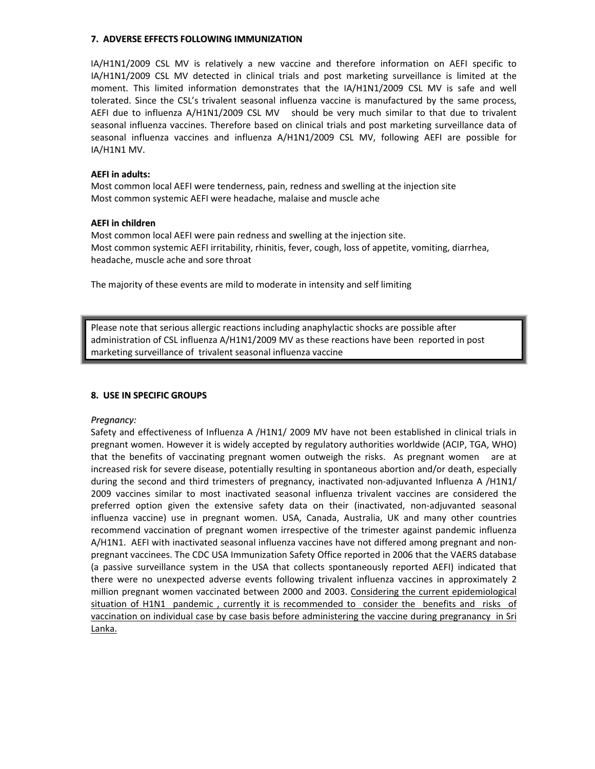#### **7. ADVERSE EFFECTS FOLLOWING IMMUNIZATION**

IA/H1N1/2009 CSL MV is relatively a new vaccine and therefore information on AEFI specific to IA/H1N1/2009 CSL MV detected in clinical trials and post marketing surveillance is limited at the moment. This limited information demonstrates that the IA/H1N1/2009 CSL MV is safe and well tolerated. Since the CSL's trivalent seasonal influenza vaccine is manufactured by the same process, AEFI due to influenza A/H1N1/2009 CSL MV should be very much similar to that due to trivalent seasonal influenza vaccines. Therefore based on clinical trials and post marketing surveillance data of seasonal influenza vaccines and influenza A/H1N1/2009 CSL MV, following AEFI are possible for IA/H1N1 MV.

#### **AEFI in adults:**

Most common local AEFI were tenderness, pain, redness and swelling at the injection site Most common systemic AEFI were headache, malaise and muscle ache

#### **AEFI in children**

Most common local AEFI were pain redness and swelling at the injection site. Most common systemic AEFI irritability, rhinitis, fever, cough, loss of appetite, vomiting, diarrhea, headache, muscle ache and sore throat

The majority of these events are mild to moderate in intensity and self limiting

Please note that serious allergic reactions including anaphylactic shocks are possible after administration of CSL influenza A/H1N1/2009 MV as these reactions have been reported in post marketing surveillance of trivalent seasonal influenza vaccine

# **8. USE IN SPECIFIC GROUPS**

# *Pregnancy:*

Safety and effectiveness of Influenza A /H1N1/ 2009 MV have not been established in clinical trials in pregnant women. However it is widely accepted by regulatory authorities worldwide (ACIP, TGA, WHO) that the benefits of vaccinating pregnant women outweigh the risks. As pregnant women are at increased risk for severe disease, potentially resulting in spontaneous abortion and/or death, especially during the second and third trimesters of pregnancy, inactivated non-adjuvanted Influenza A /H1N1/ 2009 vaccines similar to most inactivated seasonal influenza trivalent vaccines are considered the preferred option given the extensive safety data on their (inactivated, non‐adjuvanted seasonal influenza vaccine) use in pregnant women. USA, Canada, Australia, UK and many other countries recommend vaccination of pregnant women irrespective of the trimester against pandemic influenza A/H1N1. AEFI with inactivated seasonal influenza vaccines have not differed among pregnant and non‐ pregnant vaccinees. The CDC USA Immunization Safety Office reported in 2006 that the VAERS database (a passive surveillance system in the USA that collects spontaneously reported AEFI) indicated that there were no unexpected adverse events following trivalent influenza vaccines in approximately 2 million pregnant women vaccinated between 2000 and 2003. Considering the current epidemiological situation of H1N1 pandemic, currently it is recommended to consider the benefits and risks of vaccination on individual case by case basis before administering the vaccine during pregranancy in Sri Lanka.